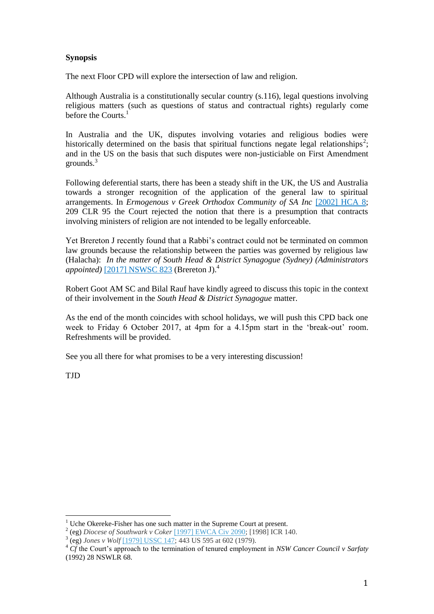## **Synopsis**

The next Floor CPD will explore the intersection of law and religion.

Although Australia is a constitutionally secular country (s.116), legal questions involving religious matters (such as questions of status and contractual rights) regularly come before the Courts.<sup>1</sup>

In Australia and the UK, disputes involving votaries and religious bodies were historically determined on the basis that spiritual functions negate legal relationships<sup>2</sup>; and in the US on the basis that such disputes were non-justiciable on First Amendment grounds.<sup>3</sup>

Following deferential starts, there has been a steady shift in the UK, the US and Australia towards a stronger recognition of the application of the general law to spiritual arrangements. In *Ermogenous v Greek Orthodox Community of SA Inc* [\[2002\] HCA 8;](http://www.austlii.edu.au/cgi-bin/viewdoc/au/cases/cth/HCA/2002/8.html) 209 CLR 95 the Court rejected the notion that there is a presumption that contracts involving ministers of religion are not intended to be legally enforceable.

Yet Brereton J recently found that a Rabbi's contract could not be terminated on common law grounds because the relationship between the parties was governed by religious law (Halacha): *In the matter of South Head & District Synagogue (Sydney) (Administrators appointed*)<sup>[2017]</sup> NSWSC 823 (Brereton J).<sup>4</sup>

Robert Goot AM SC and Bilal Rauf have kindly agreed to discuss this topic in the context of their involvement in the *South Head & District Synagogue* matter.

As the end of the month coincides with school holidays, we will push this CPD back one week to Friday 6 October 2017, at 4pm for a 4.15pm start in the 'break-out' room. Refreshments will be provided.

See you all there for what promises to be a very interesting discussion!

TJD

 $1$  Uche Okereke-Fisher has one such matter in the Supreme Court at present.

<sup>2</sup> (eg) *Diocese of Southwark v Coker* [\[1997\] EWCA Civ 2090;](http://www.bailii.org/ew/cases/EWCA/Civ/1997/2090.html) [1998] ICR 140.

<sup>3</sup> (eg) *Jones v Wolf* [\[1979\] USSC 147;](http://www.worldlii.org/us/cases/federal/USSC/1979/147.html) 443 US 595 at 602 (1979).

<sup>4</sup> *Cf* the Court's approach to the termination of tenured employment in *NSW Cancer Council v Sarfaty*  (1992) 28 NSWLR 68.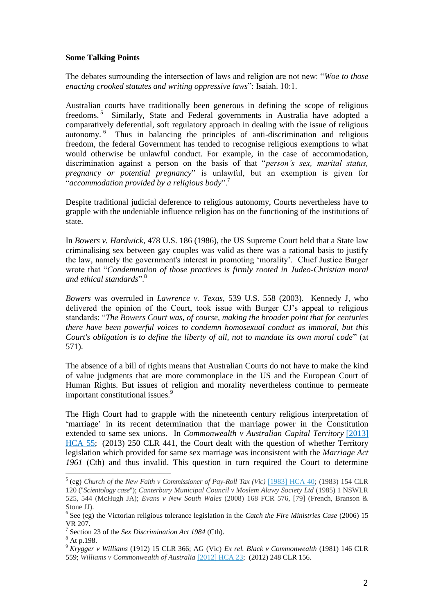## **Some Talking Points**

The debates surrounding the intersection of laws and religion are not new: "*Woe to those enacting crooked statutes and writing oppressive laws*": Isaiah. 10:1.

Australian courts have traditionally been generous in defining the scope of religious freedoms.<sup>5</sup> Similarly, State and Federal governments in Australia have adopted a comparatively deferential, soft regulatory approach in dealing with the issue of religious autonomy. <sup>6</sup> Thus in balancing the principles of anti-discrimination and religious freedom, the federal Government has tended to recognise religious exemptions to what would otherwise be unlawful conduct. For example, in the case of accommodation, discrimination against a person on the basis of that "*person's sex, marital status, pregnancy or potential pregnancy*" is unlawful, but an exemption is given for "*accommodation provided by a religious body*".<sup>7</sup>

Despite traditional judicial deference to religious autonomy, Courts nevertheless have to grapple with the undeniable influence religion has on the functioning of the institutions of state.

In *Bowers v. Hardwick*, 478 U.S. 186 (1986), the US Supreme Court held that a State law criminalising sex between gay couples was valid as there was a rational basis to justify the law, namely the government's interest in promoting 'morality'. Chief Justice Burger wrote that "*Condemnation of those practices is firmly rooted in Judeo-Christian moral and ethical standards*".<sup>8</sup>

*Bowers* was overruled in *Lawrence v. Texas*, 539 U.S. 558 (2003). Kennedy J, who delivered the opinion of the Court, took issue with Burger CJ's appeal to religious standards: "*The Bowers Court was, of course, making the broader point that for centuries there have been powerful voices to condemn homosexual conduct as immoral, but this Court's obligation is to define the liberty of all, not to mandate its own moral code*" (at 571).

The absence of a bill of rights means that Australian Courts do not have to make the kind of value judgments that are more commonplace in the US and the European Court of Human Rights. But issues of religion and morality nevertheless continue to permeate important constitutional issues.<sup>9</sup>

The High Court had to grapple with the nineteenth century religious interpretation of 'marriage' in its recent determination that the marriage power in the Constitution extended to same sex unions. In *Commonwealth v Australian Capital Territory* [\[2013\]](http://www.austlii.edu.au/cgi-bin/viewdoc/au/cases/cth/HCA/2013/55.html)  [HCA 55;](http://www.austlii.edu.au/cgi-bin/viewdoc/au/cases/cth/HCA/2013/55.html) (2013) 250 CLR 441, the Court dealt with the question of whether Territory legislation which provided for same sex marriage was inconsistent with the *Marriage Act 1961* (Cth) and thus invalid. This question in turn required the Court to determine

 $\overline{a}$ 

<sup>5</sup> (eg) *Church of the New Faith v Commissioner of Pay-Roll Tax (Vic)* [\[1983\] HCA 40;](http://www.austlii.edu.au/cgi-bin/viewdoc/au/cases/cth/HCA/1983/40.html) (1983) 154 CLR 120 ("*Scientology case*"); *Canterbury Municipal Council v Moslem Alawy Society Ltd* (1985) 1 NSWLR 525, 544 (McHugh JA); *Evans v New South Wales* (2008) 168 FCR 576, [79] (French, Branson & Stone JJ).

<sup>6</sup> See (eg) the Victorian religious tolerance legislation in the *Catch the Fire Ministries Case* (2006) 15 VR 207.

<sup>7</sup> Section 23 of the *Sex Discrimination Act 1984* (Cth).

 $8 \times 10^{-11}$ 

<sup>9</sup> *Krygger v Williams* (1912) 15 CLR 366; AG (Vic) *Ex rel. Black v Commonwealth* (1981) 146 CLR 559; *Williams v Commonwealth of Australia* [\[2012\] HCA 23;](http://www.austlii.edu.au/cgi-bin/viewdoc/au/cases/cth/HCA/2012/23.html) (2012) 248 CLR 156.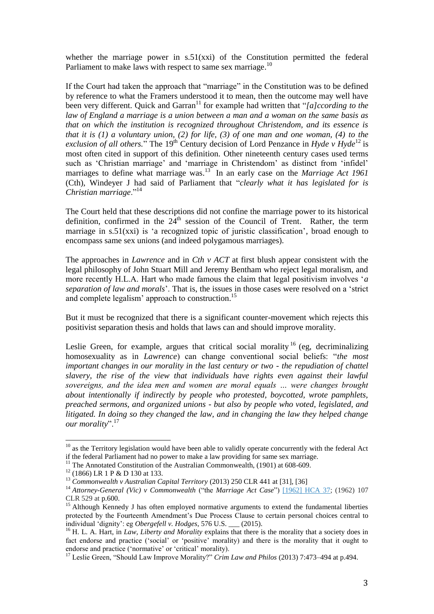whether the marriage power in s.51(xxi) of the Constitution permitted the federal Parliament to make laws with respect to same sex marriage.<sup>10</sup>

If the Court had taken the approach that "marriage" in the Constitution was to be defined by reference to what the Framers understood it to mean, then the outcome may well have been very different. Quick and Garran<sup>11</sup> for example had written that "[a]ccording to the *law of England a marriage is a union between a man and a woman on the same basis as that on which the institution is recognized throughout Christendom, and its essence is that it is (1) a voluntary union, (2) for life, (3) of one man and one woman, (4) to the exclusion of all others.*" The 19<sup>th</sup> Century decision of Lord Penzance in *Hyde*  $v$  *Hyde*<sup>12</sup> is most often cited in support of this definition. Other nineteenth century cases used terms such as 'Christian marriage' and 'marriage in Christendom' as distinct from 'infidel' marriages to define what marriage was. <sup>13</sup> In an early case on the *Marriage Act 1961*  (Cth), Windeyer J had said of Parliament that "*clearly what it has legislated for is Christian marriage*."<sup>14</sup>

The Court held that these descriptions did not confine the marriage power to its historical definition, confirmed in the 24<sup>th</sup> session of the Council of Trent. Rather, the term marriage in s.51(xxi) is 'a recognized topic of juristic classification', broad enough to encompass same sex unions (and indeed polygamous marriages).

The approaches in *Lawrence* and in *Cth v ACT* at first blush appear consistent with the legal philosophy of John Stuart Mill and Jeremy Bentham who reject legal moralism, and more recently H.L.A. Hart who made famous the claim that legal positivism involves '*a separation of law and morals*'. That is, the issues in those cases were resolved on a 'strict and complete legalism' approach to construction.<sup>15</sup>

But it must be recognized that there is a significant counter-movement which rejects this positivist separation thesis and holds that laws can and should improve morality.

Leslie Green, for example, argues that critical social morality  $16$  (eg, decriminalizing homosexuality as in *Lawrence*) can change conventional social beliefs: "*the most important changes in our morality in the last century or two - the repudiation of chattel slavery, the rise of the view that individuals have rights even against their lawful sovereigns, and the idea men and women are moral equals … were changes brought about intentionally if indirectly by people who protested, boycotted, wrote pamphlets, preached sermons, and organized unions - but also by people who voted, legislated, and litigated. In doing so they changed the law, and in changing the law they helped change our morality*".<sup>17</sup>

 $\overline{a}$ 

 $10<sup>10</sup>$  as the Territory legislation would have been able to validly operate concurrently with the federal Act if the federal Parliament had no power to make a law providing for same sex marriage.

<sup>&</sup>lt;sup>11</sup> The Annotated Constitution of the Australian Commonwealth,  $(1901)$  at 608-609.

<sup>&</sup>lt;sup>12</sup> (1866) LR 1 P & D 130 at 133.

<sup>13</sup> *Commonwealth v Australian Capital Territory* (2013) 250 CLR 441 at [31], [36]

<sup>&</sup>lt;sup>14</sup> Attorney-General (Vic) v Commonwealth ("the *Marriage Act Case"*) [\[1962\] HCA 37;](http://www.austlii.edu.au/cgi-bin/viewdoc/au/cases/cth/HCA/1962/37.html) (1962) 107 CLR 529 at p.600.

<sup>&</sup>lt;sup>15</sup> Although Kennedy J has often employed normative arguments to extend the fundamental liberties protected by the Fourteenth Amendment's Due Process Clause to certain personal choices central to individual 'dignity': eg *Obergefell v. Hodges*, 576 U.S. \_\_\_ (2015).

<sup>&</sup>lt;sup>16</sup> H. L. A. Hart, in *Law, Liberty and Morality* explains that there is the morality that a society does in fact endorse and practice ('social' or 'positive' morality) and there is the morality that it ought to endorse and practice ('normative' or 'critical' morality).

<sup>&</sup>lt;sup>17</sup> Leslie Green, "Should Law Improve Morality?" *Crim Law and Philos* (2013) 7:473-494 at p.494.